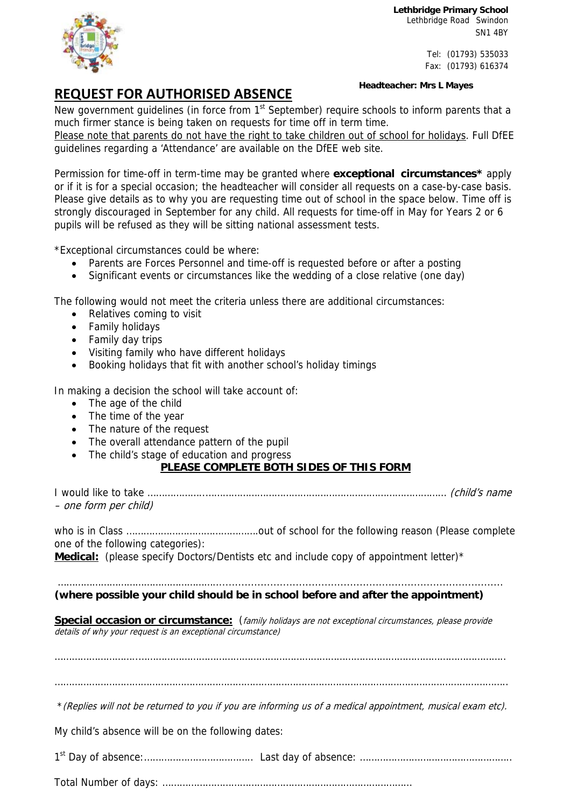**Lethbridge Primary School**  Lethbridge Road Swindon SN1 4BY

> Tel: (01793) 535033 Fax: (01793) 616374



## **REQUEST FOR AUTHORISED ABSENCE**

**Headteacher: Mrs L Mayes**

New government guidelines (in force from 1<sup>st</sup> September) require schools to inform parents that a much firmer stance is being taken on requests for time off in term time.

Please note that parents do not have the right to take children out of school for holidays. Full DfEE guidelines regarding a 'Attendance' are available on the DfEE web site.

Permission for time-off in term-time may be granted where **exceptional circumstances\*** apply or if it is for a special occasion; the headteacher will consider all requests on a case-by-case basis. Please give details as to why you are requesting time out of school in the space below. Time off is strongly discouraged in September for any child. All requests for time-off in May for Years 2 or 6 pupils will be refused as they will be sitting national assessment tests.

\*Exceptional circumstances could be where:

- Parents are Forces Personnel and time-off is requested before or after a posting
- Significant events or circumstances like the wedding of a close relative (one day)

The following would not meet the criteria unless there are additional circumstances:

- Relatives coming to visit
- Family holidays
- Family day trips
- Visiting family who have different holidays
- Booking holidays that fit with another school's holiday timings

In making a decision the school will take account of:

- The age of the child
- The time of the year
- The nature of the request
- The overall attendance pattern of the pupil
- The child's stage of education and progress

## **PLEASE COMPLETE BOTH SIDES OF THIS FORM**

I would like to take ………………..………………………………………………………………………… (child's name – one form per child)

who is in Class ……………………………………….out of school for the following reason (Please complete one of the following categories):

Medical: (please specify Doctors/Dentists etc and include copy of appointment letter)<sup>\*</sup>

## ………………………………………………...........................................................................................

**(where possible your child should be in school before and after the appointment)** 

Special occasion or circumstance: (family holidays are not exceptional circumstances, please provide details of why your request is an exceptional circumstance)

………………………..………………………………………………………………………………………………………………..

…………………………………………………………………………………………………………………………………………..

\*(Replies will not be returned to you if you are informing us of a medical appointment, musical exam etc).

My child's absence will be on the following dates:

1st Day of absence:……………………………….. Last day of absence: ……………………………………………..

Total Number of days: ……………………………………………………………………………